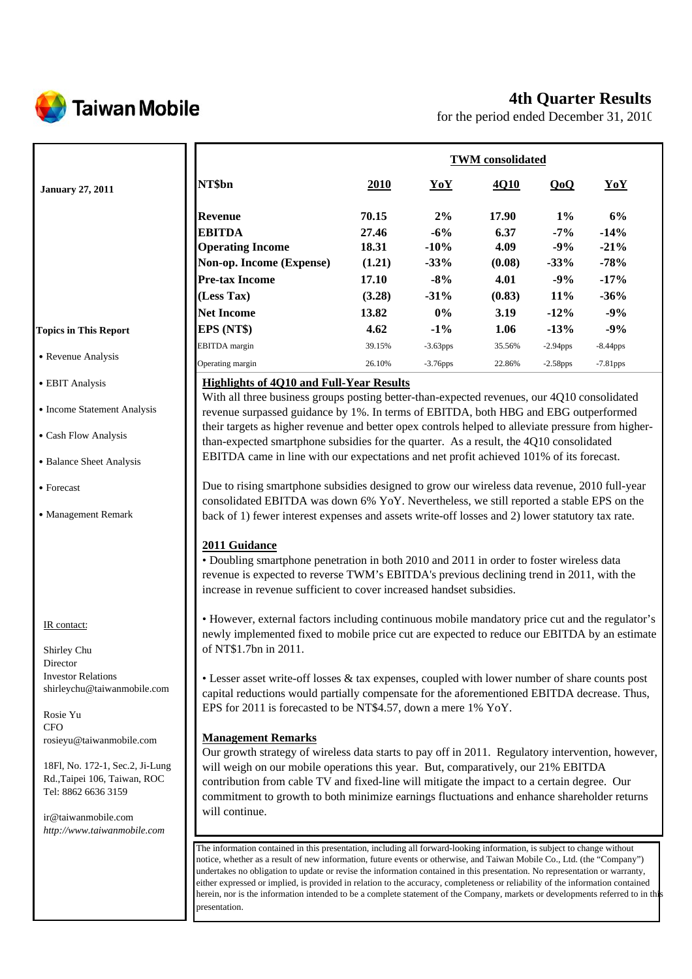

# **4th Quarter Results**

for the period ended December 31, 2010

|                                                     |                                                                                                                                                                                                                                                                                              | <b>TWM</b> consolidated |             |        |             |             |  |
|-----------------------------------------------------|----------------------------------------------------------------------------------------------------------------------------------------------------------------------------------------------------------------------------------------------------------------------------------------------|-------------------------|-------------|--------|-------------|-------------|--|
| <b>January 27, 2011</b>                             | NT\$bn                                                                                                                                                                                                                                                                                       | 2010                    | YoY         | 4Q10   | QoQ         | YoY         |  |
|                                                     | <b>Revenue</b>                                                                                                                                                                                                                                                                               | 70.15                   | 2%          | 17.90  | $1\%$       | 6%          |  |
|                                                     | <b>EBITDA</b>                                                                                                                                                                                                                                                                                | 27.46                   | $-6%$       | 6.37   | $-7%$       | $-14%$      |  |
|                                                     | <b>Operating Income</b>                                                                                                                                                                                                                                                                      | 18.31                   | $-10%$      | 4.09   | $-9%$       | $-21%$      |  |
|                                                     | Non-op. Income (Expense)                                                                                                                                                                                                                                                                     | (1.21)                  | $-33%$      | (0.08) | $-33%$      | $-78%$      |  |
|                                                     | <b>Pre-tax Income</b>                                                                                                                                                                                                                                                                        | 17.10                   | $-8%$       | 4.01   | $-9%$       | $-17%$      |  |
|                                                     | (Less Tax)                                                                                                                                                                                                                                                                                   | (3.28)                  | $-31%$      | (0.83) | 11%         | $-36%$      |  |
|                                                     | <b>Net Income</b>                                                                                                                                                                                                                                                                            | 13.82                   | $0\%$       | 3.19   | $-12%$      | $-9%$       |  |
| <b>Topics in This Report</b>                        | EPS (NT\$)                                                                                                                                                                                                                                                                                   | 4.62                    | $-1\%$      | 1.06   | $-13%$      | $-9%$       |  |
|                                                     | EBITDA margin                                                                                                                                                                                                                                                                                | 39.15%                  | $-3.63$ pps | 35.56% | $-2.94$ pps | $-8.44$ pps |  |
| • Revenue Analysis                                  | Operating margin                                                                                                                                                                                                                                                                             | 26.10%                  | $-3.76$ pps | 22.86% | $-2.58$ pps | $-7.81$ pps |  |
|                                                     |                                                                                                                                                                                                                                                                                              |                         |             |        |             |             |  |
| • EBIT Analysis                                     | <b>Highlights of 4Q10 and Full-Year Results</b>                                                                                                                                                                                                                                              |                         |             |        |             |             |  |
| • Income Statement Analysis                         | With all three business groups posting better-than-expected revenues, our 4Q10 consolidated                                                                                                                                                                                                  |                         |             |        |             |             |  |
|                                                     | revenue surpassed guidance by 1%. In terms of EBITDA, both HBG and EBG outperformed                                                                                                                                                                                                          |                         |             |        |             |             |  |
| • Cash Flow Analysis                                | their targets as higher revenue and better opex controls helped to alleviate pressure from higher-                                                                                                                                                                                           |                         |             |        |             |             |  |
|                                                     | than-expected smartphone subsidies for the quarter. As a result, the 4Q10 consolidated<br>EBITDA came in line with our expectations and net profit achieved 101% of its forecast.                                                                                                            |                         |             |        |             |             |  |
| • Balance Sheet Analysis                            |                                                                                                                                                                                                                                                                                              |                         |             |        |             |             |  |
| • Forecast<br>• Management Remark                   | Due to rising smartphone subsidies designed to grow our wireless data revenue, 2010 full-year<br>consolidated EBITDA was down 6% YoY. Nevertheless, we still reported a stable EPS on the<br>back of 1) fewer interest expenses and assets write-off losses and 2) lower statutory tax rate. |                         |             |        |             |             |  |
|                                                     | 2011 Guidance<br>• Doubling smartphone penetration in both 2010 and 2011 in order to foster wireless data<br>revenue is expected to reverse TWM's EBITDA's previous declining trend in 2011, with the<br>increase in revenue sufficient to cover increased handset subsidies.                |                         |             |        |             |             |  |
| IR contact:                                         | • However, external factors including continuous mobile mandatory price cut and the regulator's<br>newly implemented fixed to mobile price cut are expected to reduce our EBITDA by an estimate                                                                                              |                         |             |        |             |             |  |
| Shirley Chu<br>Director                             | of NT\$1.7bn in 2011.                                                                                                                                                                                                                                                                        |                         |             |        |             |             |  |
| <b>Investor Relations</b>                           | • Lesser asset write-off losses & tax expenses, coupled with lower number of share counts post                                                                                                                                                                                               |                         |             |        |             |             |  |
| shirleychu@taiwanmobile.com                         | capital reductions would partially compensate for the aforementioned EBITDA decrease. Thus,                                                                                                                                                                                                  |                         |             |        |             |             |  |
| Rosie Yu<br><b>CFO</b>                              | EPS for 2011 is forecasted to be NT\$4.57, down a mere 1% YoY.                                                                                                                                                                                                                               |                         |             |        |             |             |  |
| rosieyu@taiwanmobile.com                            | <b>Management Remarks</b>                                                                                                                                                                                                                                                                    |                         |             |        |             |             |  |
|                                                     | Our growth strategy of wireless data starts to pay off in 2011. Regulatory intervention, however,                                                                                                                                                                                            |                         |             |        |             |             |  |
| 18Fl, No. 172-1, Sec.2, Ji-Lung                     | will weigh on our mobile operations this year. But, comparatively, our 21% EBITDA                                                                                                                                                                                                            |                         |             |        |             |             |  |
| Rd., Taipei 106, Taiwan, ROC<br>Tel: 8862 6636 3159 | contribution from cable TV and fixed-line will mitigate the impact to a certain degree. Our<br>commitment to growth to both minimize earnings fluctuations and enhance shareholder returns                                                                                                   |                         |             |        |             |             |  |
| ir@taiwanmobile.com                                 | will continue.                                                                                                                                                                                                                                                                               |                         |             |        |             |             |  |
| http://www.tainwampohila.gov                        |                                                                                                                                                                                                                                                                                              |                         |             |        |             |             |  |

The information contained in this presentation, including all forward-looking information, is subject to change without notice, whether as a result of new information, future events or otherwise, and Taiwan Mobile Co., Ltd. (the "Company") undertakes no obligation to update or revise the information contained in this presentation. No representation or warranty, either expressed or implied, is provided in relation to the accuracy, completeness or reliability of the information contained herein, nor is the information intended to be a complete statement of the Company, markets or developments referred to in this presentation.

*http://www.taiwanmobile.com*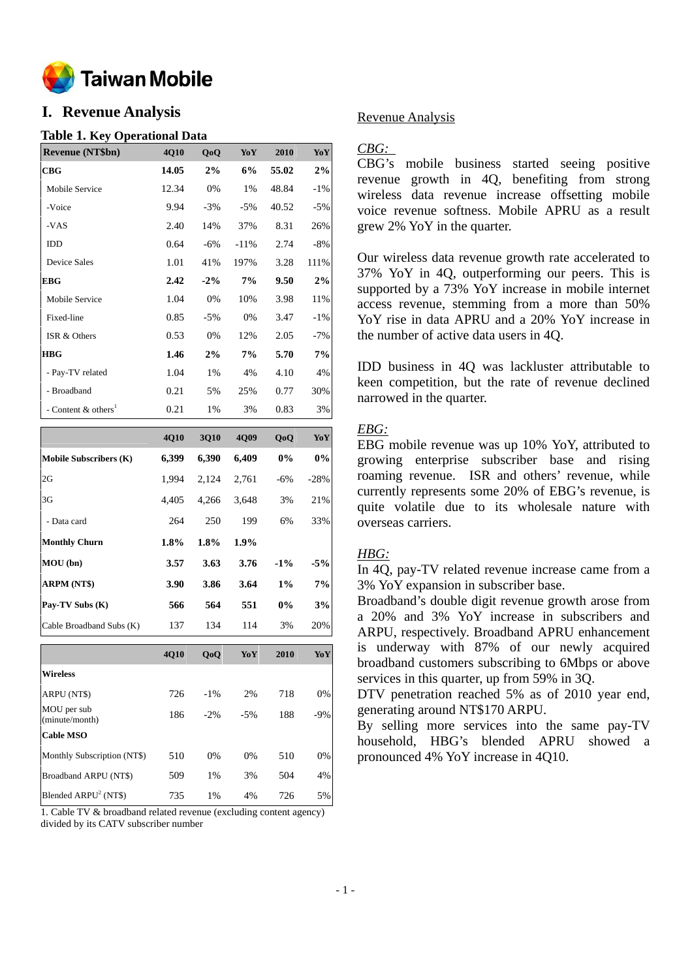

# **I. Revenue Analysis**

## **Table 1. Key Operational Data**

| <b>Revenue (NT\$bn)</b>         | 4Q10  | QoQ    | YoY     | 2010  | YoY    |
|---------------------------------|-------|--------|---------|-------|--------|
| CBG                             | 14.05 | 2%     | 6%      | 55.02 | 2%     |
| Mobile Service                  | 12.34 | 0%     | 1%      | 48.84 | $-1\%$ |
| -Voice                          | 9.94  | $-3%$  | $-5\%$  | 40.52 | $-5%$  |
| -VAS                            | 2.40  | 14%    | 37%     | 8.31  | 26%    |
| <b>IDD</b>                      | 0.64  | $-6\%$ | $-11\%$ | 2.74  | $-8%$  |
| <b>Device Sales</b>             | 1.01  | 41%    | 197%    | 3.28  | 111%   |
| EBG                             | 2.42  | $-2\%$ | 7%      | 9.50  | 2%     |
| Mobile Service                  | 1.04  | 0%     | 10%     | 3.98  | 11%    |
| Fixed-line                      | 0.85  | $-5%$  | 0%      | 3.47  | $-1\%$ |
| ISR & Others                    | 0.53  | 0%     | 12%     | 2.05  | $-7%$  |
| <b>HBG</b>                      | 1.46  | 2%     | 7%      | 5.70  | 7%     |
| - Pay-TV related                | 1.04  | 1%     | 4%      | 4.10  | 4%     |
| - Broadband                     | 0.21  | 5%     | 25%     | 0.77  | 30%    |
| - Content & others <sup>1</sup> | 0.21  | 1%     | 3%      | 0.83  | 3%     |

|                               | <b>4010</b> | 3010  | <b>4009</b> | QoQ    | YoY    |
|-------------------------------|-------------|-------|-------------|--------|--------|
| <b>Mobile Subscribers (K)</b> | 6,399       | 6,390 | 6,409       | $0\%$  | 0%     |
| 2G                            | 1.994       | 2.124 | 2,761       | $-6\%$ | $-28%$ |
| 3G                            | 4.405       | 4.266 | 3.648       | 3%     | 21%    |
| - Data card                   | 264         | 250   | 199         | 6%     | 33%    |
| <b>Monthly Churn</b>          | 1.8%        | 1.8%  | $1.9\%$     |        |        |
| MOU(bn)                       | 3.57        | 3.63  | 3.76        | $-1\%$ | $-5%$  |
| <b>ARPM (NT\$)</b>            | 3.90        | 3.86  | 3.64        | $1\%$  | 7%     |
| Pay-TV Subs (K)               | 566         | 564   | 551         | $0\%$  | 3%     |
| Cable Broadband Subs (K)      | 137         | 134   | 114         | 3%     | 20%    |

|                               | <b>4010</b> | QoQ     | YoY   | 2010 | YoY   |
|-------------------------------|-------------|---------|-------|------|-------|
| <b>Wireless</b>               |             |         |       |      |       |
| ARPU (NT\$)                   | 726         | $-1\%$  | 2%    | 718  | 0%    |
| MOU per sub<br>(minute/month) | 186         | $-2.96$ | $-5%$ | 188  | $-9%$ |
| <b>Cable MSO</b>              |             |         |       |      |       |
| Monthly Subscription (NT\$)   | 510         | 0%      | 0%    | 510  | 0%    |
| Broadband ARPU (NT\$)         | 509         | 1%      | 3%    | 504  | 4%    |
| Blended $ARPU2 (NT$)$         | 735         | 1%      | 4%    | 726  | 5%    |

1. Cable TV & broadband related revenue (excluding content agency) divided by its CATV subscriber number

## Revenue Analysis

## *CBG:*

CBG's mobile business started seeing positive revenue growth in 4Q, benefiting from strong wireless data revenue increase offsetting mobile voice revenue softness. Mobile APRU as a result grew 2% YoY in the quarter.

Our wireless data revenue growth rate accelerated to 37% YoY in 4Q, outperforming our peers. This is supported by a 73% YoY increase in mobile internet access revenue, stemming from a more than 50% YoY rise in data APRU and a 20% YoY increase in the number of active data users in 4Q.

IDD business in 4Q was lackluster attributable to keen competition, but the rate of revenue declined narrowed in the quarter.

## *EBG:*

EBG mobile revenue was up 10% YoY, attributed to growing enterprise subscriber base and rising roaming revenue. ISR and others' revenue, while currently represents some 20% of EBG's revenue, is quite volatile due to its wholesale nature with overseas carriers.

## *HBG:*

In 4Q, pay-TV related revenue increase came from a 3% YoY expansion in subscriber base.

Broadband's double digit revenue growth arose from a 20% and 3% YoY increase in subscribers and ARPU, respectively. Broadband APRU enhancement is underway with 87% of our newly acquired broadband customers subscribing to 6Mbps or above services in this quarter, up from 59% in 3Q.

DTV penetration reached 5% as of 2010 year end, generating around NT\$170 ARPU.

By selling more services into the same pay-TV household, HBG's blended APRU showed a pronounced 4% YoY increase in 4Q10.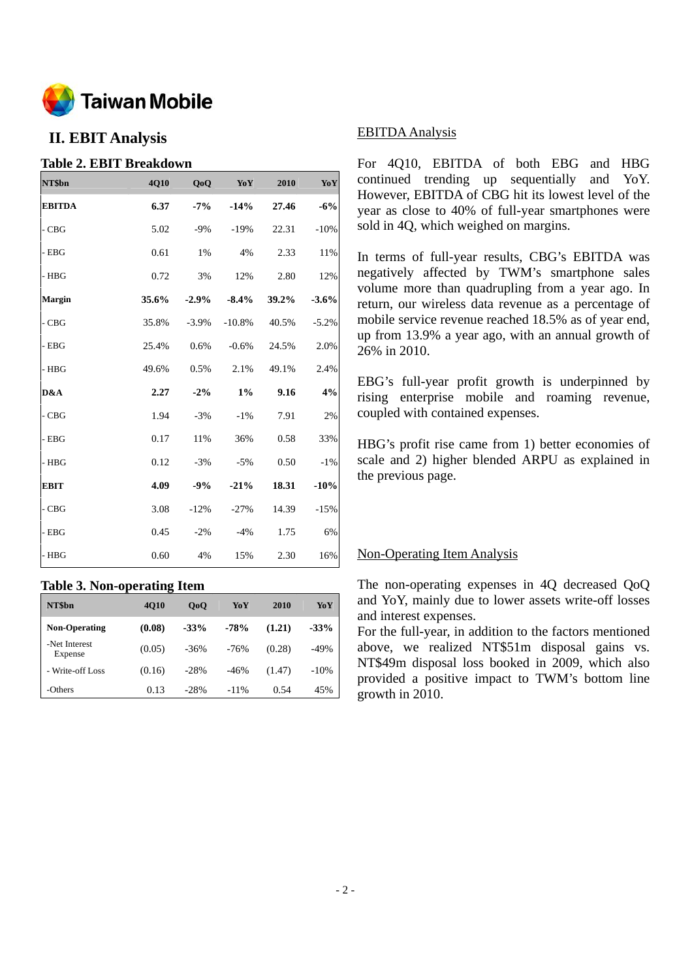

## **II. EBIT Analysis**

## **Table 2. EBIT Breakdown**

| NT\$bn        | 4Q10  | QoQ      | YoY      | 2010  | YoY     |
|---------------|-------|----------|----------|-------|---------|
| <b>EBITDA</b> | 6.37  | $-7%$    | $-14%$   | 27.46 | $-6%$   |
| $-CBG$        | 5.02  | $-9%$    | $-19%$   | 22.31 | $-10%$  |
| $-$ EBG       | 0.61  | 1%       | 4%       | 2.33  | 11%     |
| $-$ HBG       | 0.72  | 3%       | 12%      | 2.80  | 12%     |
| Margin        | 35.6% | $-2.9\%$ | $-8.4\%$ | 39.2% | $-3.6%$ |
| $-CBG$        | 35.8% | $-3.9\%$ | $-10.8%$ | 40.5% | $-5.2%$ |
| $-$ EBG       | 25.4% | 0.6%     | $-0.6%$  | 24.5% | 2.0%    |
| - HBG         | 49.6% | 0.5%     | 2.1%     | 49.1% | 2.4%    |
| D&A           | 2.27  | $-2\%$   | $1\%$    | 9.16  | 4%      |
| $-CBG$        | 1.94  | $-3%$    | $-1\%$   | 7.91  | 2%      |
| $-$ EBG       | 0.17  | 11%      | 36%      | 0.58  | 33%     |
| $-$ HBG       | 0.12  | $-3%$    | $-5%$    | 0.50  | $-1%$   |
| <b>EBIT</b>   | 4.09  | $-9%$    | $-21%$   | 18.31 | $-10%$  |
| - CBG         | 3.08  | $-12%$   | $-27%$   | 14.39 | $-15%$  |
| - EBG         | 0.45  | $-2%$    | $-4%$    | 1.75  | 6%      |
| - HBG         | 0.60  | 4%       | 15%      | 2.30  | 16%     |

## **Table 3. Non-operating Item**

| NT\$bn                   | <b>4010</b> | 0 <sub>0</sub> | YoY     | 2010   | YoY    |
|--------------------------|-------------|----------------|---------|--------|--------|
| <b>Non-Operating</b>     | (0.08)      | $-33%$         | $-78%$  | (1.21) | $-33%$ |
| -Net Interest<br>Expense | (0.05)      | $-36\%$        | $-76%$  | (0.28) | $-49%$ |
| - Write-off Loss         | (0.16)      | $-28%$         | $-46%$  | (1.47) | $-10%$ |
| -Others                  | 0.13        | $-28%$         | $-11\%$ | 0.54   | 45%    |

### EBITDA Analysis

For 4Q10, EBITDA of both EBG and HBG continued trending up sequentially and YoY. However, EBITDA of CBG hit its lowest level of the year as close to 40% of full-year smartphones were sold in 4Q, which weighed on margins.

In terms of full-year results, CBG's EBITDA was negatively affected by TWM's smartphone sales volume more than quadrupling from a year ago. In return, our wireless data revenue as a percentage of mobile service revenue reached 18.5% as of year end, up from 13.9% a year ago, with an annual growth of 26% in 2010.

EBG's full-year profit growth is underpinned by rising enterprise mobile and roaming revenue, coupled with contained expenses.

HBG's profit rise came from 1) better economies of scale and 2) higher blended ARPU as explained in the previous page.

## Non-Operating Item Analysis

The non-operating expenses in 4Q decreased QoQ and YoY, mainly due to lower assets write-off losses and interest expenses.

For the full-year, in addition to the factors mentioned above, we realized NT\$51m disposal gains vs. NT\$49m disposal loss booked in 2009, which also provided a positive impact to TWM's bottom line growth in 2010.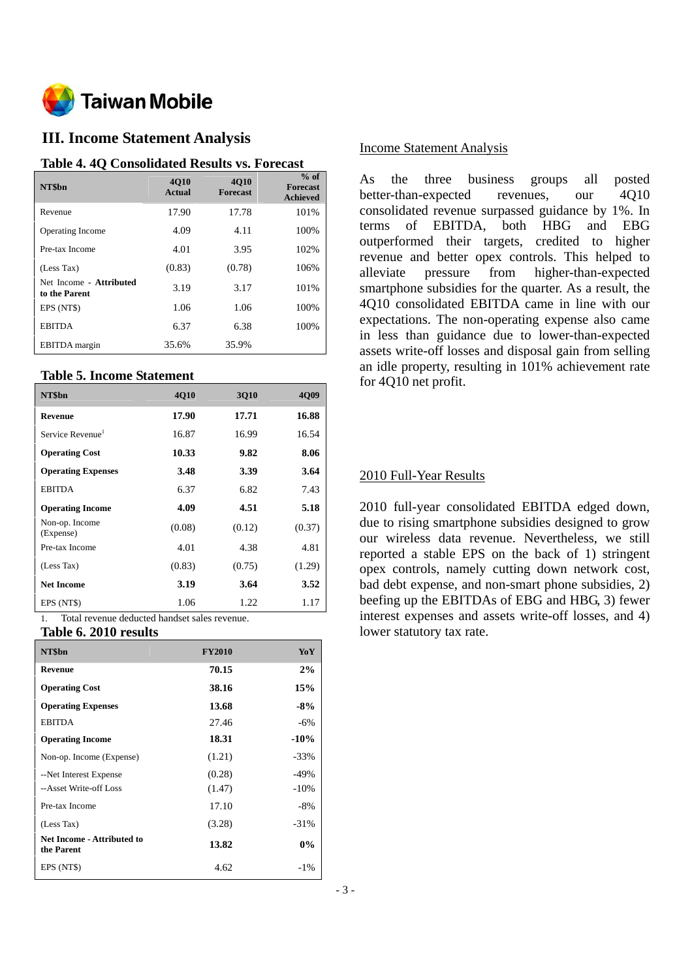

## **III. Income Statement Analysis**

#### **Table 4. 4Q Consolidated Results vs. Forecast**

| NT\$bn                                   | <b>4010</b><br>Actual | <b>4010</b><br><b>Forecast</b> | $%$ of<br><b>Forecast</b><br><b>Achieved</b> |
|------------------------------------------|-----------------------|--------------------------------|----------------------------------------------|
| Revenue                                  | 17.90                 | 17.78                          | 101%                                         |
| <b>Operating Income</b>                  | 4.09                  | 4.11                           | 100%                                         |
| Pre-tax Income                           | 4.01                  | 3.95                           | 102%                                         |
| (Less Tax)                               | (0.83)                | (0.78)                         | 106%                                         |
| Net Income - Attributed<br>to the Parent | 3.19                  | 3.17                           | 101%                                         |
| EPS (NT\$)                               | 1.06                  | 1.06                           | 100%                                         |
| <b>EBITDA</b>                            | 6.37                  | 6.38                           | 100%                                         |
| <b>EBITDA</b> margin                     | 35.6%                 | 35.9%                          |                                              |

#### **Table 5. Income Statement**

| NT\$bn                       | <b>4010</b> | 3010   | <b>4009</b> |
|------------------------------|-------------|--------|-------------|
| Revenue                      | 17.90       | 17.71  | 16.88       |
| Service Revenue <sup>1</sup> | 16.87       | 16.99  | 16.54       |
| <b>Operating Cost</b>        | 10.33       | 9.82   | 8.06        |
| <b>Operating Expenses</b>    | 3.48        | 3.39   | 3.64        |
| <b>EBITDA</b>                | 6.37        | 6.82   | 7.43        |
| <b>Operating Income</b>      | 4.09        | 4.51   | 5.18        |
| Non-op. Income<br>(Expense)  | (0.08)      | (0.12) | (0.37)      |
| Pre-tax Income               | 4.01        | 4.38   | 4.81        |
| (Less Tax)                   | (0.83)      | (0.75) | (1.29)      |
| <b>Net Income</b>            | 3.19        | 3.64   | 3.52        |
| EPS (NT\$)                   | 1.06        | 1.22   | 1.17        |

1. Total revenue deducted handset sales revenue.

### **Table 6. 2010 results**

| NT\$bn                                          | <b>FY2010</b> | YoY     |
|-------------------------------------------------|---------------|---------|
| Revenue                                         | 70.15         | 2%      |
| <b>Operating Cost</b>                           | 38.16         | 15%     |
| <b>Operating Expenses</b>                       | 13.68         | $-8%$   |
| <b>EBITDA</b>                                   | 27.46         | $-6\%$  |
| <b>Operating Income</b>                         | 18.31         | $-10\%$ |
| Non-op. Income (Expense)                        | (1.21)        | $-33%$  |
| --Net Interest Expense                          | (0.28)        | $-49%$  |
| --Asset Write-off Loss                          | (1.47)        | $-10%$  |
| Pre-tax Income                                  | 17.10         | $-8%$   |
| (Less Tax)                                      | (3.28)        | $-31%$  |
| <b>Net Income - Attributed to</b><br>the Parent | 13.82         | $0\%$   |
| EPS (NT\$)                                      | 4.62          | $-1\%$  |

## Income Statement Analysis

As the three business groups all posted better-than-expected revenues, our 4Q10 consolidated revenue surpassed guidance by 1%. In terms of EBITDA, both HBG and EBG outperformed their targets, credited to higher revenue and better opex controls. This helped to alleviate pressure from higher-than-expected smartphone subsidies for the quarter. As a result, the 4Q10 consolidated EBITDA came in line with our expectations. The non-operating expense also came in less than guidance due to lower-than-expected assets write-off losses and disposal gain from selling an idle property, resulting in 101% achievement rate for 4Q10 net profit.

## 2010 Full-Year Results

2010 full-year consolidated EBITDA edged down, due to rising smartphone subsidies designed to grow our wireless data revenue. Nevertheless, we still reported a stable EPS on the back of 1) stringent opex controls, namely cutting down network cost, bad debt expense, and non-smart phone subsidies, 2) beefing up the EBITDAs of EBG and HBG, 3) fewer interest expenses and assets write-off losses, and 4) lower statutory tax rate.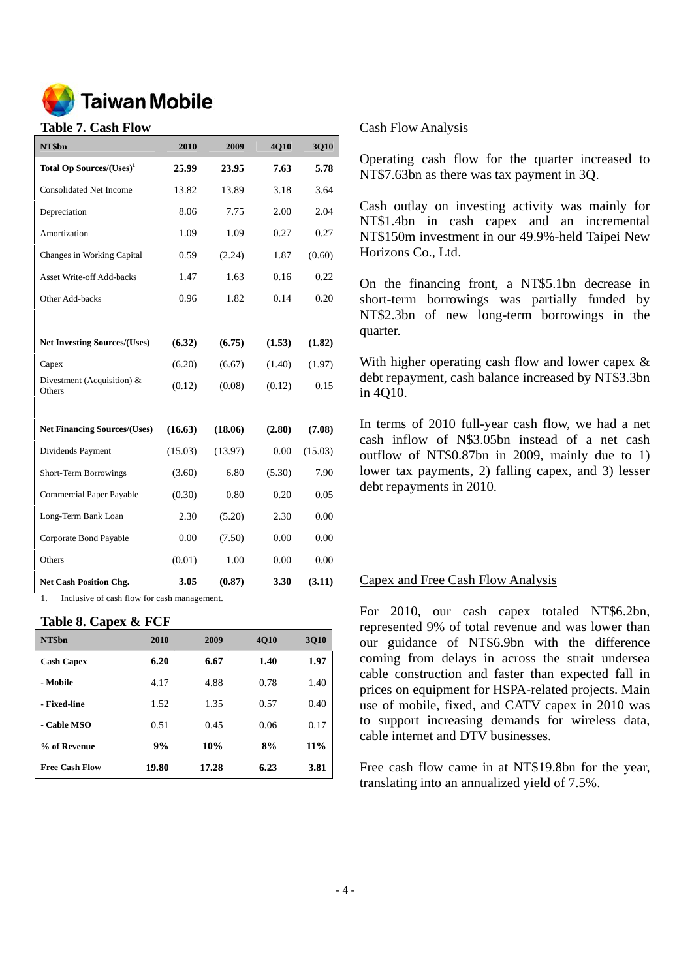

#### **Table 7. Cash Flow**

| NT\$bn                               | 2010    | 2009    | 4Q10   | 3Q10    |
|--------------------------------------|---------|---------|--------|---------|
| Total Op Sources/(Uses) <sup>1</sup> | 25.99   | 23.95   | 7.63   | 5.78    |
| <b>Consolidated Net Income</b>       | 13.82   | 13.89   | 3.18   | 3.64    |
| Depreciation                         | 8.06    | 7.75    | 2.00   | 2.04    |
| Amortization                         | 1.09    | 1.09    | 0.27   | 0.27    |
| Changes in Working Capital           | 0.59    | (2.24)  | 1.87   | (0.60)  |
| <b>Asset Write-off Add-backs</b>     | 1.47    | 1.63    | 0.16   | 0.22    |
| Other Add-backs                      | 0.96    | 1.82    | 0.14   | 0.20    |
|                                      |         |         |        |         |
| <b>Net Investing Sources/(Uses)</b>  | (6.32)  | (6.75)  | (1.53) | (1.82)  |
| Capex                                | (6.20)  | (6.67)  | (1.40) | (1.97)  |
| Divestment (Acquisition) &<br>Others | (0.12)  | (0.08)  | (0.12) | 0.15    |
|                                      |         |         |        |         |
| <b>Net Financing Sources/(Uses)</b>  | (16.63) | (18.06) | (2.80) | (7.08)  |
| Dividends Payment                    | (15.03) | (13.97) | 0.00   | (15.03) |
| Short-Term Borrowings                | (3.60)  | 6.80    | (5.30) | 7.90    |
| <b>Commercial Paper Payable</b>      | (0.30)  | 0.80    | 0.20   | 0.05    |
| Long-Term Bank Loan                  | 2.30    | (5.20)  | 2.30   | 0.00    |
| Corporate Bond Payable               | 0.00    | (7.50)  | 0.00   | 0.00    |
| Others                               | (0.01)  | 1.00    | 0.00   | 0.00    |
| <b>Net Cash Position Chg.</b>        | 3.05    | (0.87)  | 3.30   | (3.11)  |

1. Inclusive of cash flow for cash management.

#### **Table 8. Capex & FCF**

| NT\$bn                | 2010  | 2009  | <b>4010</b> | <b>3Q10</b> |
|-----------------------|-------|-------|-------------|-------------|
| <b>Cash Capex</b>     | 6.20  | 6.67  | 1.40        | 1.97        |
| - Mobile              | 4.17  | 4.88  | 0.78        | 1.40        |
| - Fixed-line          | 1.52  | 1.35  | 0.57        | 0.40        |
| - Cable MSO           | 0.51  | 0.45  | 0.06        | 0.17        |
| % of Revenue          | 9%    | 10%   | 8%          | 11%         |
| <b>Free Cash Flow</b> | 19.80 | 17.28 | 6.23        | 3.81        |

#### Cash Flow Analysis

Operating cash flow for the quarter increased to NT\$7.63bn as there was tax payment in 3Q.

Cash outlay on investing activity was mainly for NT\$1.4bn in cash capex and an incremental NT\$150m investment in our 49.9%-held Taipei New Horizons Co., Ltd.

On the financing front, a NT\$5.1bn decrease in short-term borrowings was partially funded by NT\$2.3bn of new long-term borrowings in the quarter.

With higher operating cash flow and lower capex & debt repayment, cash balance increased by NT\$3.3bn in 4Q10.

In terms of 2010 full-year cash flow, we had a net cash inflow of N\$3.05bn instead of a net cash outflow of NT\$0.87bn in 2009, mainly due to 1) lower tax payments, 2) falling capex, and 3) lesser debt repayments in 2010.

#### Capex and Free Cash Flow Analysis

For 2010, our cash capex totaled NT\$6.2bn, represented 9% of total revenue and was lower than our guidance of NT\$6.9bn with the difference coming from delays in across the strait undersea cable construction and faster than expected fall in prices on equipment for HSPA-related projects. Main use of mobile, fixed, and CATV capex in 2010 was to support increasing demands for wireless data, cable internet and DTV businesses.

Free cash flow came in at NT\$19.8bn for the year, translating into an annualized yield of 7.5%.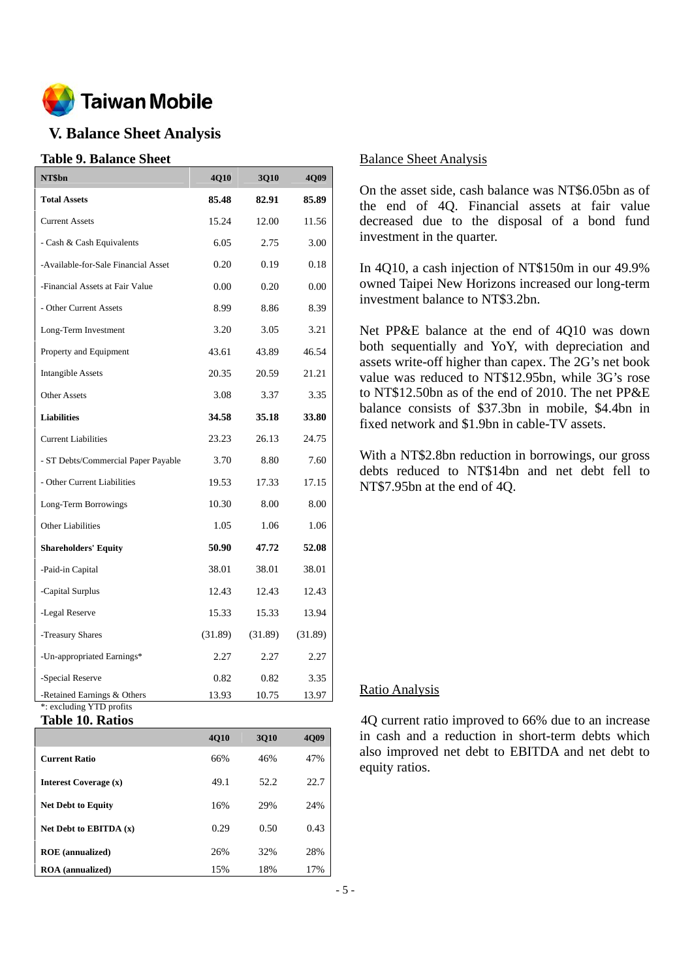

# **V. Balance Sheet Analysis**

## **Table 9. Balance Sheet**

| NT\$bn                                                  | 4Q10    | <b>3Q10</b> | <b>4Q09</b> |
|---------------------------------------------------------|---------|-------------|-------------|
| <b>Total Assets</b>                                     | 85.48   | 82.91       | 85.89       |
| <b>Current Assets</b>                                   | 15.24   | 12.00       | 11.56       |
| - Cash & Cash Equivalents                               | 6.05    | 2.75        | 3.00        |
| -Available-for-Sale Financial Asset                     | 0.20    | 0.19        | 0.18        |
| -Financial Assets at Fair Value                         | 0.00    | 0.20        | 0.00        |
| - Other Current Assets                                  | 8.99    | 8.86        | 8.39        |
| Long-Term Investment                                    | 3.20    | 3.05        | 3.21        |
| Property and Equipment                                  | 43.61   | 43.89       | 46.54       |
| <b>Intangible Assets</b>                                | 20.35   | 20.59       | 21.21       |
| <b>Other Assets</b>                                     | 3.08    | 3.37        | 3.35        |
| <b>Liabilities</b>                                      | 34.58   | 35.18       | 33.80       |
| <b>Current Liabilities</b>                              | 23.23   | 26.13       | 24.75       |
| - ST Debts/Commercial Paper Payable                     | 3.70    | 8.80        | 7.60        |
| - Other Current Liabilities                             | 19.53   | 17.33       | 17.15       |
| Long-Term Borrowings                                    | 10.30   | 8.00        | 8.00        |
| <b>Other Liabilities</b>                                | 1.05    | 1.06        | 1.06        |
| <b>Shareholders' Equity</b>                             | 50.90   | 47.72       | 52.08       |
| -Paid-in Capital                                        | 38.01   | 38.01       | 38.01       |
| -Capital Surplus                                        | 12.43   | 12.43       | 12.43       |
| -Legal Reserve                                          | 15.33   | 15.33       | 13.94       |
| -Treasury Shares                                        | (31.89) | (31.89)     | (31.89)     |
| -Un-appropriated Earnings*                              | 2.27    | 2.27        | 2.27        |
| -Special Reserve                                        | 0.82    | 0.82        | 3.35        |
| -Retained Earnings & Others<br>*: excluding YTD profits | 13.93   | 10.75       | 13.97       |

**Table 10. Ratios** 

|                           | <b>4010</b> | 3010 | 4009 |
|---------------------------|-------------|------|------|
| <b>Current Ratio</b>      | 66%         | 46%  | 47%  |
| Interest Coverage (x)     | 49.1        | 52.2 | 22.7 |
| <b>Net Debt to Equity</b> | 16%         | 29%  | 24%  |
| Net Debt to EBITDA $(x)$  | 0.29        | 0.50 | 0.43 |
| <b>ROE</b> (annualized)   | 26%         | 32%  | 28%  |
| <b>ROA</b> (annualized)   | 15%         | 18%  | 17%  |

## Balance Sheet Analysis

On the asset side, cash balance was NT\$6.05bn as of the end of 4Q. Financial assets at fair value decreased due to the disposal of a bond fund investment in the quarter.

In 4Q10, a cash injection of NT\$150m in our 49.9% owned Taipei New Horizons increased our long-term investment balance to NT\$3.2bn.

Net PP&E balance at the end of 4Q10 was down both sequentially and YoY, with depreciation and assets write-off higher than capex. The 2G's net book value was reduced to NT\$12.95bn, while 3G's rose to NT\$12.50bn as of the end of 2010. The net PP&E balance consists of \$37.3bn in mobile, \$4.4bn in fixed network and \$1.9bn in cable-TV assets.

With a NT\$2.8bn reduction in borrowings, our gross debts reduced to NT\$14bn and net debt fell to NT\$7.95bn at the end of 4Q.

## Ratio Analysis

4Q current ratio improved to 66% due to an increase in cash and a reduction in short-term debts which also improved net debt to EBITDA and net debt to equity ratios.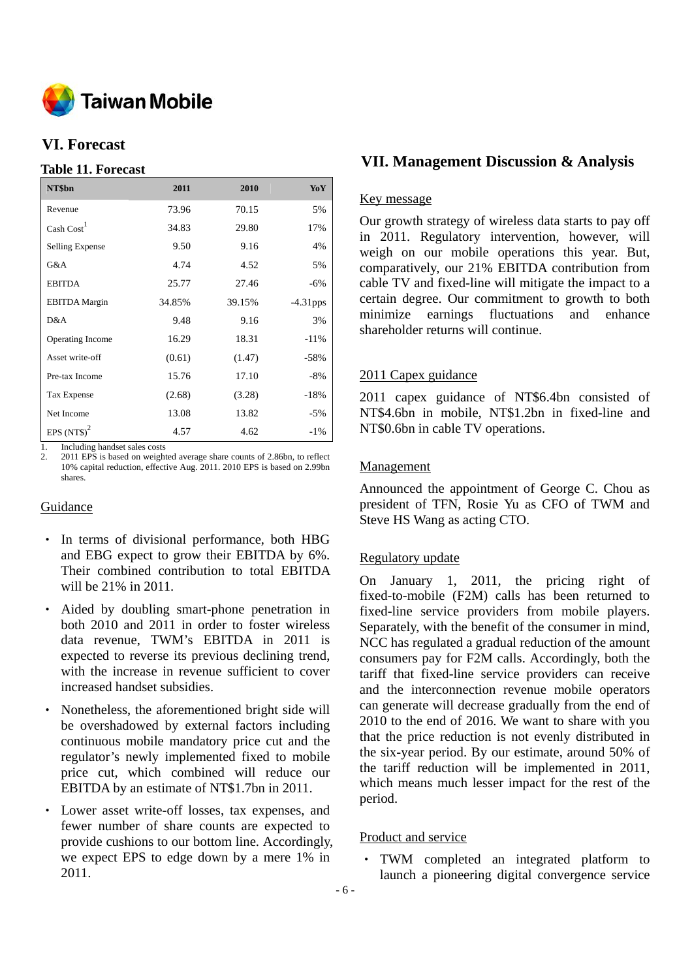

# **VI. Forecast**

## **Table 11. Forecast**

| NT\$bn                 | 2011   | 2010   | YoY         |
|------------------------|--------|--------|-------------|
| Revenue                | 73.96  | 70.15  | 5%          |
| $\text{Cash Cost}^1$   | 34.83  | 29.80  | 17%         |
| <b>Selling Expense</b> | 9.50   | 9.16   | 4%          |
| G&A                    | 4.74   | 4.52   | 5%          |
| <b>EBITDA</b>          | 25.77  | 27.46  | -6%         |
| <b>EBITDA</b> Margin   | 34.85% | 39.15% | $-4.31$ pps |
| D&A                    | 9.48   | 9.16   | 3%          |
| Operating Income       | 16.29  | 18.31  | $-11%$      |
| Asset write-off        | (0.61) | (1.47) | $-58%$      |
| Pre-tax Income         | 15.76  | 17.10  | $-8%$       |
| Tax Expense            | (2.68) | (3.28) | $-18%$      |
| Net Income             | 13.08  | 13.82  | $-5\%$      |
| EPS $(NTS)^2$          | 4.57   | 4.62   | $-1\%$      |

1. Including handset sales costs

2011 EPS is based on weighted average share counts of 2.86bn, to reflect 10% capital reduction, effective Aug. 2011. 2010 EPS is based on 2.99bn shares.

## Guidance

- ‧ In terms of divisional performance, both HBG and EBG expect to grow their EBITDA by 6%. Their combined contribution to total EBITDA will be 21% in 2011.
- Aided by doubling smart-phone penetration in both 2010 and 2011 in order to foster wireless data revenue, TWM's EBITDA in 2011 is expected to reverse its previous declining trend, with the increase in revenue sufficient to cover increased handset subsidies.
- Nonetheless, the aforementioned bright side will be overshadowed by external factors including continuous mobile mandatory price cut and the regulator's newly implemented fixed to mobile price cut, which combined will reduce our EBITDA by an estimate of NT\$1.7bn in 2011.
- Lower asset write-off losses, tax expenses, and fewer number of share counts are expected to provide cushions to our bottom line. Accordingly, we expect EPS to edge down by a mere 1% in 2011.

# **VII. Management Discussion & Analysis**

## Key message

Our growth strategy of wireless data starts to pay off in 2011. Regulatory intervention, however, will weigh on our mobile operations this year. But, comparatively, our 21% EBITDA contribution from cable TV and fixed-line will mitigate the impact to a certain degree. Our commitment to growth to both minimize earnings fluctuations and enhance shareholder returns will continue.

## 2011 Capex guidance

2011 capex guidance of NT\$6.4bn consisted of NT\$4.6bn in mobile, NT\$1.2bn in fixed-line and NT\$0.6bn in cable TV operations.

## Management

Announced the appointment of George C. Chou as president of TFN, Rosie Yu as CFO of TWM and Steve HS Wang as acting CTO.

## Regulatory update

On January 1, 2011, the pricing right of fixed-to-mobile (F2M) calls has been returned to fixed-line service providers from mobile players. Separately, with the benefit of the consumer in mind, NCC has regulated a gradual reduction of the amount consumers pay for F2M calls. Accordingly, both the tariff that fixed-line service providers can receive and the interconnection revenue mobile operators can generate will decrease gradually from the end of 2010 to the end of 2016. We want to share with you that the price reduction is not evenly distributed in the six-year period. By our estimate, around 50% of the tariff reduction will be implemented in 2011, which means much lesser impact for the rest of the period.

## Product and service

TWM completed an integrated platform to launch a pioneering digital convergence service